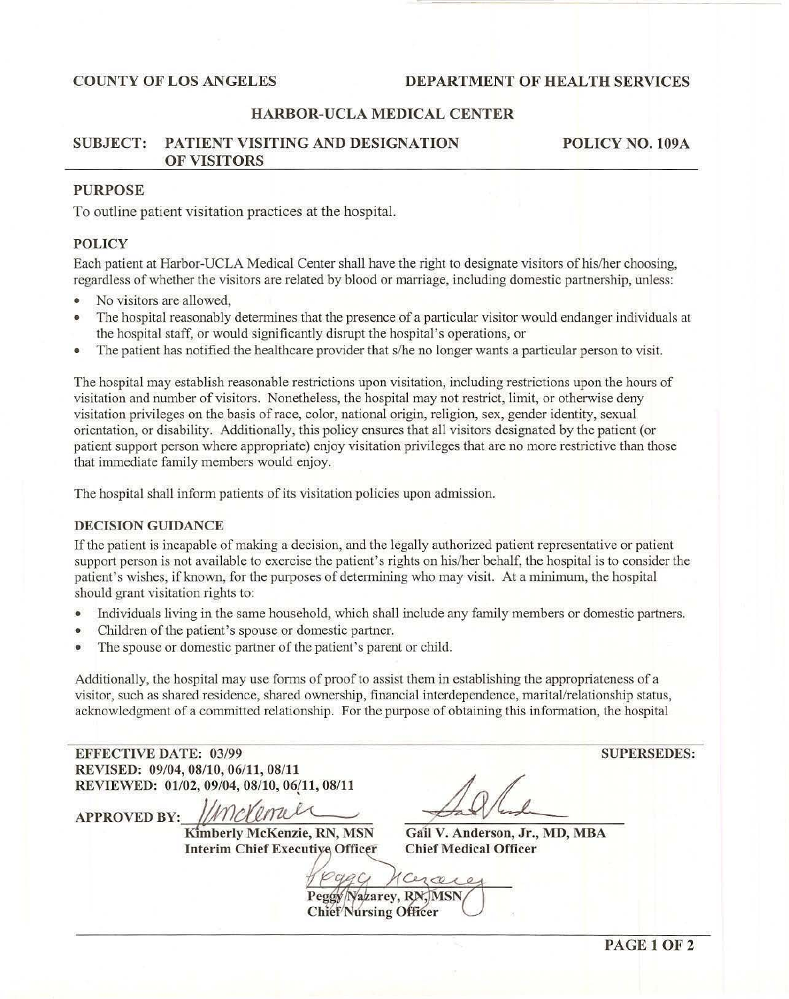# COUNTY OF LOS ANGELES DEPARTMENT OF HEALTH SERVICES

# HARBOR-UCLA MEDICAL CENTER

## SUBJECT: PATIENT VISITING AND DESIGNATION OF VISITORS

POLICY NO. 109A

# PURPOSE

To outline patient visitation practices at the hospital.

## POLICY

Each patient at Harbor-UCLA Medical Center shall have the right to designate visitors of hislher choosing, regardless of whether the visitors are related by blood or marriage, including domestic partnership, unless:

- No visitors are allowed,
- The hospital reasonably determines that the presence of a particular visitor would endanger individuals at the hospital staff, or would significantly disrupt the hospital's operations, or
- The patient has notified the healthcare provider that s/he no longer wants a particular person to visit.

The hospital may establish reasonable restrictions upon visitation, including restrictions upon the hours of visitation and number of visitors. Nonetheless, the hospital may not restrict, limit, or otherwise deny visitation privileges on the basis ofrace, color, national origin, religion, sex, gender identity, sexual orientation, or disability. Additionally, this policy ensures that all visitors designated by the patient (or patient support person where appropriate) enjoy visitation privileges that are no more restrictive than those that immediate family members would enjoy.

The hospital shall inform patients of its visitation policies upon admission.

### DECISION GUIDANCE

If the palient is incapable of making a decision, and the legally authorized patient representative or patient support person is not available to exercise the patient's rights on his/her behalf, the hospital is to consider the patient's wishes, if known, for the purposes of detennining who may visit. At a minimum, the hospital should grant visitation rights to:

- Individuals living in the same household, which shall include any family members or domestic partners.
- Children of the patient's spouse or domestic partner.
- The spouse or domestic partner of the patient's parent or child.

Additionally, the hospital may use fonns of proof to assist them in establishing the appropriateness of a visitor, such as shared residence, shared ownership, financial interdependence, marital/relationship status, acknowledgment of a committed relationship. For the purpose of obtaining this infonnation, the hospital

| <b>EFFECTIVE DATE: 03/99</b> |                                             |                              |
|------------------------------|---------------------------------------------|------------------------------|
|                              | REVISED: 09/04, 08/10, 06/11, 08/11         |                              |
|                              | REVIEWED: 01/02, 09/04, 08/10, 06/11, 08/11 |                              |
| <b>APPROVED BY:</b>          | Imdernier                                   |                              |
|                              | Kimberly McKenzie, RN, MSN                  | Gail V. Anderson, Jr.,       |
|                              | <b>Interim Chief Executive Officer</b>      | <b>Chief Medical Officer</b> |
|                              |                                             |                              |

r., MD, MBA

co Peggy/Nazarey, RN, MSN Chief Nursing Officer

**SUPERSEDES:**